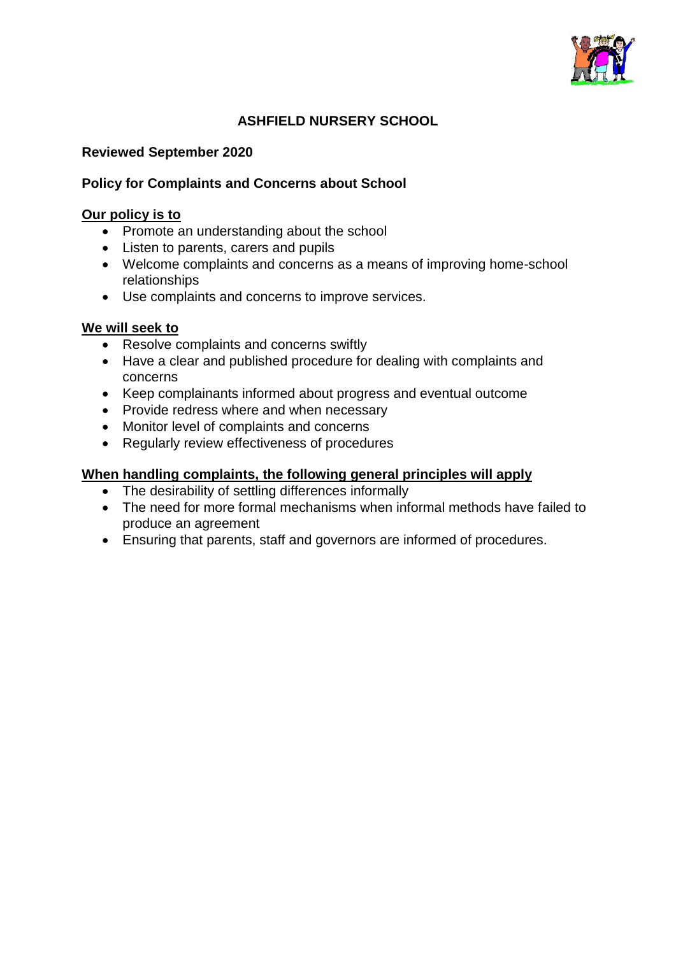

## **ASHFIELD NURSERY SCHOOL**

#### **Reviewed September 2020**

#### **Policy for Complaints and Concerns about School**

#### **Our policy is to**

- Promote an understanding about the school
- Listen to parents, carers and pupils
- Welcome complaints and concerns as a means of improving home-school relationships
- Use complaints and concerns to improve services.

#### **We will seek to**

- Resolve complaints and concerns swiftly
- Have a clear and published procedure for dealing with complaints and concerns
- Keep complainants informed about progress and eventual outcome
- Provide redress where and when necessary
- Monitor level of complaints and concerns
- Regularly review effectiveness of procedures

#### **When handling complaints, the following general principles will apply**

- The desirability of settling differences informally
- The need for more formal mechanisms when informal methods have failed to produce an agreement
- Ensuring that parents, staff and governors are informed of procedures.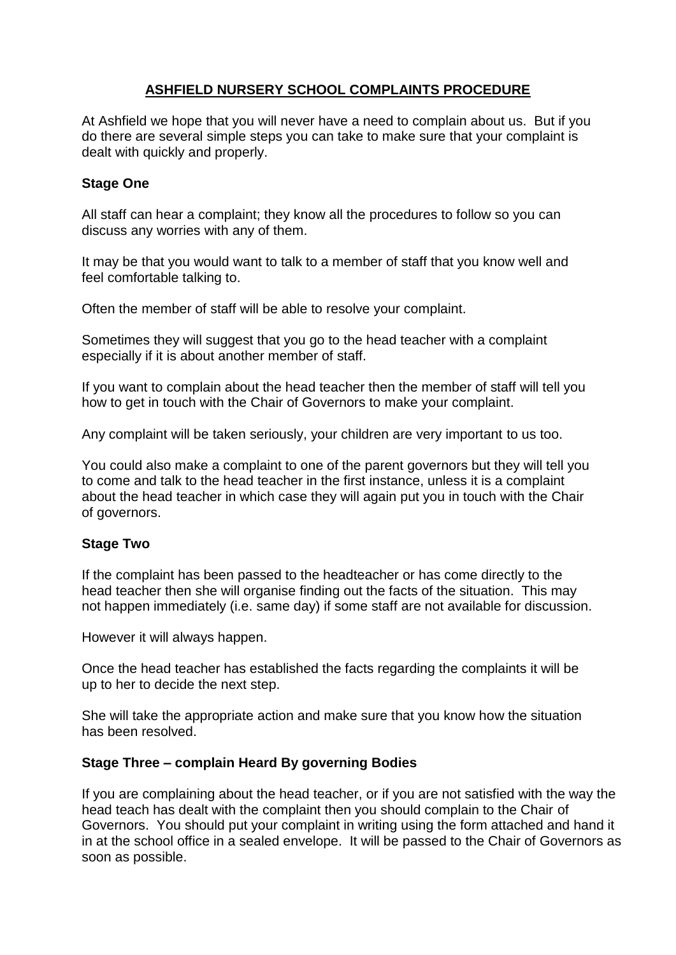## **ASHFIELD NURSERY SCHOOL COMPLAINTS PROCEDURE**

At Ashfield we hope that you will never have a need to complain about us. But if you do there are several simple steps you can take to make sure that your complaint is dealt with quickly and properly.

#### **Stage One**

All staff can hear a complaint; they know all the procedures to follow so you can discuss any worries with any of them.

It may be that you would want to talk to a member of staff that you know well and feel comfortable talking to.

Often the member of staff will be able to resolve your complaint.

Sometimes they will suggest that you go to the head teacher with a complaint especially if it is about another member of staff.

If you want to complain about the head teacher then the member of staff will tell you how to get in touch with the Chair of Governors to make your complaint.

Any complaint will be taken seriously, your children are very important to us too.

You could also make a complaint to one of the parent governors but they will tell you to come and talk to the head teacher in the first instance, unless it is a complaint about the head teacher in which case they will again put you in touch with the Chair of governors.

#### **Stage Two**

If the complaint has been passed to the headteacher or has come directly to the head teacher then she will organise finding out the facts of the situation. This may not happen immediately (i.e. same day) if some staff are not available for discussion.

However it will always happen.

Once the head teacher has established the facts regarding the complaints it will be up to her to decide the next step.

She will take the appropriate action and make sure that you know how the situation has been resolved.

#### **Stage Three – complain Heard By governing Bodies**

If you are complaining about the head teacher, or if you are not satisfied with the way the head teach has dealt with the complaint then you should complain to the Chair of Governors. You should put your complaint in writing using the form attached and hand it in at the school office in a sealed envelope. It will be passed to the Chair of Governors as soon as possible.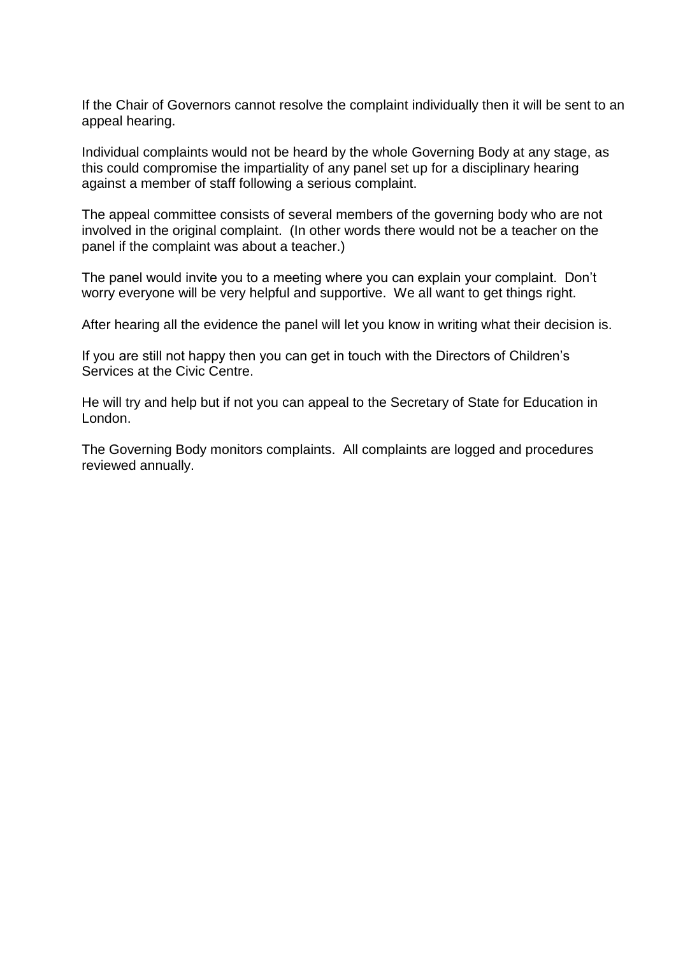If the Chair of Governors cannot resolve the complaint individually then it will be sent to an appeal hearing.

Individual complaints would not be heard by the whole Governing Body at any stage, as this could compromise the impartiality of any panel set up for a disciplinary hearing against a member of staff following a serious complaint.

The appeal committee consists of several members of the governing body who are not involved in the original complaint. (In other words there would not be a teacher on the panel if the complaint was about a teacher.)

The panel would invite you to a meeting where you can explain your complaint. Don't worry everyone will be very helpful and supportive. We all want to get things right.

After hearing all the evidence the panel will let you know in writing what their decision is.

If you are still not happy then you can get in touch with the Directors of Children's Services at the Civic Centre.

He will try and help but if not you can appeal to the Secretary of State for Education in London.

The Governing Body monitors complaints. All complaints are logged and procedures reviewed annually.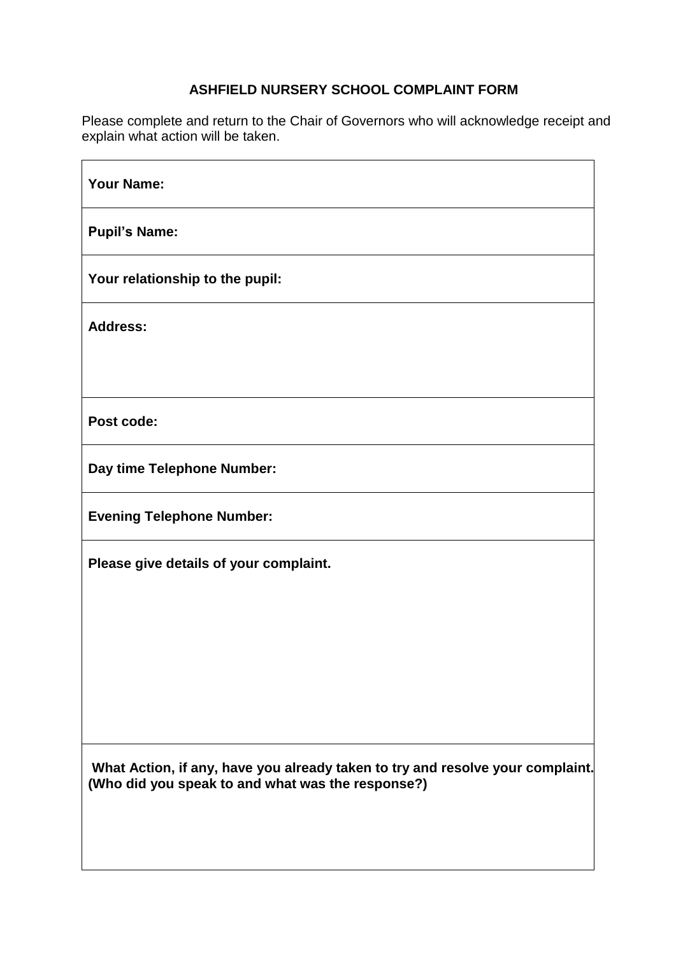# **ASHFIELD NURSERY SCHOOL COMPLAINT FORM**

Please complete and return to the Chair of Governors who will acknowledge receipt and explain what action will be taken.

| <b>Your Name:</b>                                                                                                                   |
|-------------------------------------------------------------------------------------------------------------------------------------|
| <b>Pupil's Name:</b>                                                                                                                |
| Your relationship to the pupil:                                                                                                     |
| <b>Address:</b>                                                                                                                     |
|                                                                                                                                     |
| Post code:                                                                                                                          |
| Day time Telephone Number:                                                                                                          |
| <b>Evening Telephone Number:</b>                                                                                                    |
| Please give details of your complaint.                                                                                              |
|                                                                                                                                     |
|                                                                                                                                     |
|                                                                                                                                     |
| What Action, if any, have you already taken to try and resolve your complaint.<br>(Who did you speak to and what was the response?) |
|                                                                                                                                     |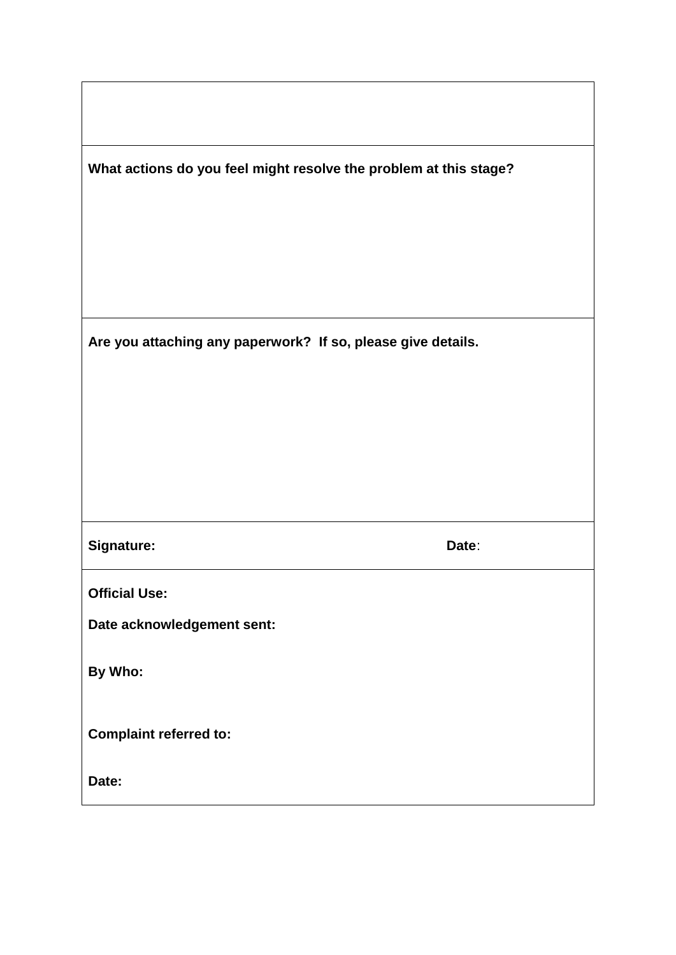|  | What actions do you feel might resolve the problem at this stage? |  |
|--|-------------------------------------------------------------------|--|
|  |                                                                   |  |

**Are you attaching any paperwork? If so, please give details.**

**Signature:** Date: Date: Date: Date: Date: Date: Date: Date: Date: Date: Date: Date: Date: Date: Date: Date: Date:  $\overline{D}$ 

**Official Use:**

**Date acknowledgement sent:**

**By Who:**

**Complaint referred to:**

**Date:**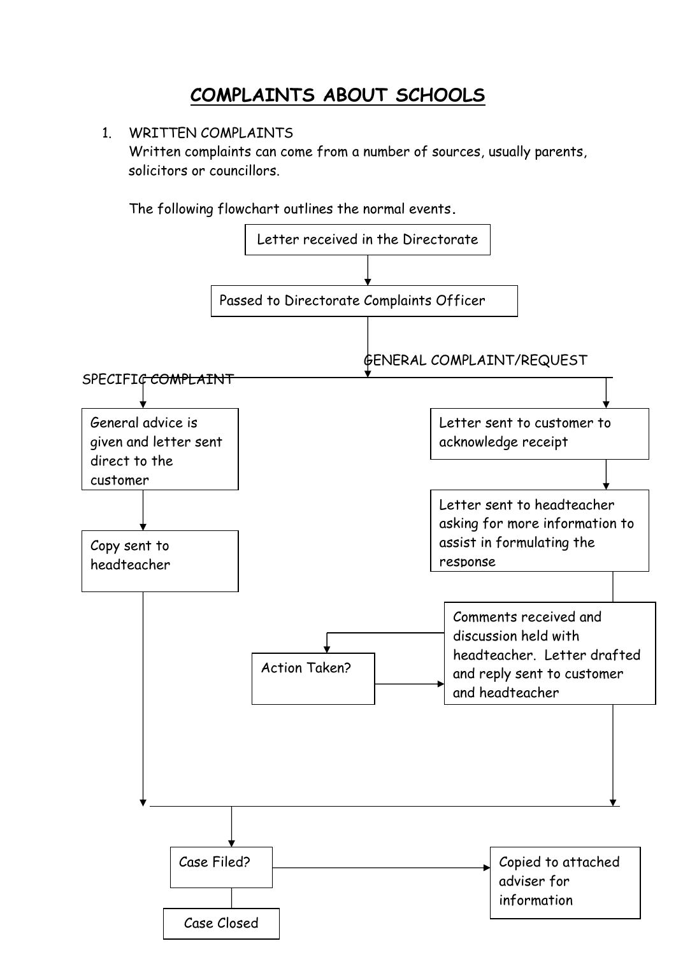# **COMPLAINTS ABOUT SCHOOLS**

# 1. WRITTEN COMPLAINTS

Written complaints can come from a number of sources, usually parents, solicitors or councillors.

The following flowchart outlines the normal events**.**